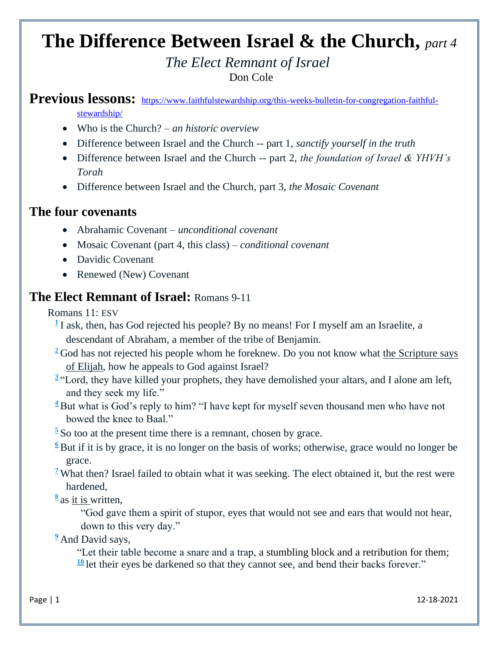# **The Difference Between Israel & the Church,** *part 4*

#### *The Elect Remnant of Israel* Don Cole

#### Previous lessons: [https://www.faithfulstewardship.org/this-weeks-bulletin-for-congregation-faithful](https://www.faithfulstewardship.org/this-weeks-bulletin-for-congregation-faithful-stewardship/)[stewardship/](https://www.faithfulstewardship.org/this-weeks-bulletin-for-congregation-faithful-stewardship/)

- Who is the Church? *– an historic overview*
- Difference between Israel and the Church -- part 1, *sanctify yourself in the truth*
- Difference between Israel and the Church -- part 2, *the foundation of Israel & YHVH's Torah*
- Difference between Israel and the Church, part 3, *the Mosaic Covenant*

### **The four covenants**

- Abrahamic Covenant *unconditional covenant*
- Mosaic Covenant (part 4, this class) *conditional covenant*
- Davidic Covenant
- Renewed (New) Covenant

#### **The Elect Remnant of Israel:** Romans 9-11

Romans 11: ESV

- <sup>[1](http://biblehub.com/romans/11-1.htm)</sup>I ask, then, has God rejected his people? By no means! For I myself am an Israelite, a descendant of Abraham, a member of the tribe of Benjamin.
- <sup>[2](http://biblehub.com/romans/11-2.htm)</sup> God has not rejected his people whom he foreknew. Do you not know what the Scripture says of Elijah, how he appeals to God against Israel?
- <sup>[3](http://biblehub.com/romans/11-3.htm)</sup> "Lord, they have killed your prophets, they have demolished your altars, and I alone am left, and they seek my life."
- **[4](http://biblehub.com/romans/11-4.htm)** But what is God's reply to him? "I have kept for myself seven thousand men who have not bowed the knee to Baal."
- **[5](http://biblehub.com/romans/11-5.htm)** So too at the present time there is a remnant, chosen by grace.
- **[6](http://biblehub.com/romans/11-6.htm)** But if it is by grace, it is no longer on the basis of works; otherwise, grace would no longer be grace.
- <sup>[7](http://biblehub.com/romans/11-7.htm)</sup> What then? Israel failed to obtain what it was seeking. The elect obtained it, but the rest were hardened,
- **[8](http://biblehub.com/romans/11-8.htm)** as it is written,

"God gave them a spirit of stupor, eyes that would not see and ears that would not hear, down to this very day."

<sup>2</sup> And David says,

"Let their table become a snare and a trap, a stumbling block and a retribution for them;  $\frac{10}{10}$  $\frac{10}{10}$  $\frac{10}{10}$  let their eyes be darkened so that they cannot see, and bend their backs forever."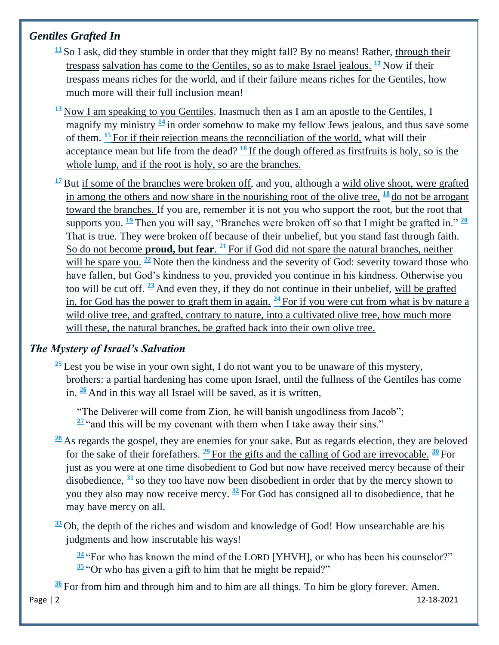#### *Gentiles Grafted In*

- **[11](http://biblehub.com/romans/11-11.htm)** So I ask, did they stumble in order that they might fall? By no means! Rather, through their trespass salvation has come to the Gentiles, so as to make Israel jealous. **[12](http://biblehub.com/romans/11-12.htm)** Now if their trespass means riches for the world, and if their failure means riches for the Gentiles, how much more will their full inclusion mean!
- **[13](http://biblehub.com/romans/11-13.htm)** Now I am speaking to you Gentiles. Inasmuch then as I am an apostle to the Gentiles, I magnify my ministry  $\frac{14}{1}$  $\frac{14}{1}$  $\frac{14}{1}$  in order somehow to make my fellow Jews jealous, and thus save some of them. **[15](http://biblehub.com/romans/11-15.htm)** For if their rejection means the reconciliation of the world, what will their acceptance mean but life from the dead? **[16](http://biblehub.com/romans/11-16.htm)** If the dough offered as firstfruits is holy, so is the whole lump, and if the root is holy, so are the branches.
- $\frac{17}{2}$  $\frac{17}{2}$  $\frac{17}{2}$  But if some of the branches were broken off, and you, although a wild olive shoot, were grafted in among the others and now share in the nourishing root of the olive tree,  $\frac{18}{18}$  $\frac{18}{18}$  $\frac{18}{18}$  do not be arrogant toward the branches. If you are, remember it is not you who support the root, but the root that supports you. **[19](http://biblehub.com/romans/11-19.htm)** Then you will say, "Branches were broken off so that I might be grafted in." **[20](http://biblehub.com/romans/11-20.htm)** That is true. They were broken off because of their unbelief, but you stand fast through faith. So do not become **proud, but fear**. **[21](http://biblehub.com/romans/11-21.htm)** For if God did not spare the natural branches, neither will he spare you. <sup>[22](http://biblehub.com/romans/11-22.htm)</sup> Note then the kindness and the severity of God: severity toward those who have fallen, but God's kindness to you, provided you continue in his kindness. Otherwise you too will be cut off. **[23](http://biblehub.com/romans/11-23.htm)** And even they, if they do not continue in their unbelief, will be grafted in, for God has the power to graft them in again. **[24](http://biblehub.com/romans/11-24.htm)** For if you were cut from what is by nature a wild olive tree, and grafted, contrary to nature, into a cultivated olive tree, how much more will these, the natural branches, be grafted back into their own olive tree.

#### *The Mystery of Israel's Salvation*

**[25](http://biblehub.com/romans/11-25.htm)** Lest you be wise in your own sight, I do not want you to be unaware of this mystery, brothers: a partial hardening has come upon Israel, until the fullness of the Gentiles has come in. **[26](http://biblehub.com/romans/11-26.htm)** And in this way all Israel will be saved, as it is written,

"The Deliverer will come from Zion, he will banish ungodliness from Jacob";  $\frac{27}{1}$  $\frac{27}{1}$  $\frac{27}{1}$  and this will be my covenant with them when I take away their sins."

- **[28](http://biblehub.com/romans/11-28.htm)** As regards the gospel, they are enemies for your sake. But as regards election, they are beloved for the sake of their forefathers. **[29](http://biblehub.com/romans/11-29.htm)** For the gifts and the calling of God are irrevocable. **[30](http://biblehub.com/romans/11-30.htm)** For just as you were at one time disobedient to God but now have received mercy because of their disobedience, **[31](http://biblehub.com/romans/11-31.htm)** so they too have now been disobedient in order that by the mercy shown to you they also may now receive mercy. **[32](http://biblehub.com/romans/11-32.htm)** For God has consigned all to disobedience, that he may have mercy on all.
- **[33](http://biblehub.com/romans/11-33.htm)** Oh, the depth of the riches and wisdom and knowledge of God! How unsearchable are his judgments and how inscrutable his ways!

**[34](http://biblehub.com/romans/11-34.htm)** "For who has known the mind of the LORD [YHVH], or who has been his counselor?" **[35](http://biblehub.com/romans/11-35.htm)** "Or who has given a gift to him that he might be repaid?"

**[36](http://biblehub.com/romans/11-36.htm)** For from him and through him and to him are all things. To him be glory forever. Amen.